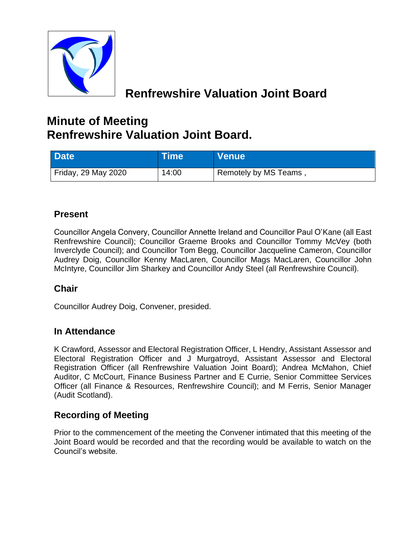

# **Renfrewshire Valuation Joint Board**

# **Minute of Meeting Renfrewshire Valuation Joint Board.**

| Date <sup>1</sup>   | ∣Time l | <b>Venue</b>                       |
|---------------------|---------|------------------------------------|
| Friday, 29 May 2020 | 14:00   | <sup>1</sup> Remotely by MS Teams, |

# **Present**

Councillor Angela Convery, Councillor Annette Ireland and Councillor Paul O'Kane (all East Renfrewshire Council); Councillor Graeme Brooks and Councillor Tommy McVey (both Inverclyde Council); and Councillor Tom Begg, Councillor Jacqueline Cameron, Councillor Audrey Doig, Councillor Kenny MacLaren, Councillor Mags MacLaren, Councillor John McIntyre, Councillor Jim Sharkey and Councillor Andy Steel (all Renfrewshire Council).

# **Chair**

Councillor Audrey Doig, Convener, presided.

# **In Attendance**

K Crawford, Assessor and Electoral Registration Officer, L Hendry, Assistant Assessor and Electoral Registration Officer and J Murgatroyd, Assistant Assessor and Electoral Registration Officer (all Renfrewshire Valuation Joint Board); Andrea McMahon, Chief Auditor, C McCourt, Finance Business Partner and E Currie, Senior Committee Services Officer (all Finance & Resources, Renfrewshire Council); and M Ferris, Senior Manager (Audit Scotland).

# **Recording of Meeting**

Prior to the commencement of the meeting the Convener intimated that this meeting of the Joint Board would be recorded and that the recording would be available to watch on the Council's website.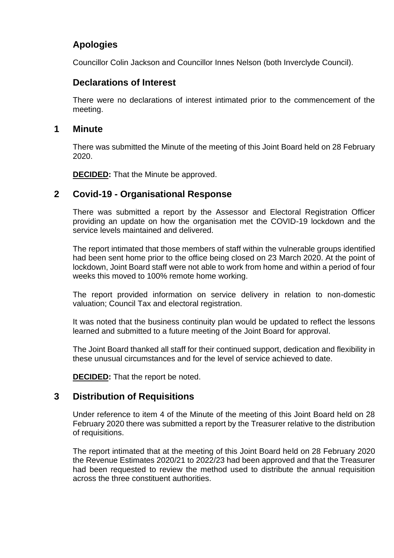# **Apologies**

Councillor Colin Jackson and Councillor Innes Nelson (both Inverclyde Council).

## **Declarations of Interest**

There were no declarations of interest intimated prior to the commencement of the meeting.

#### **1 Minute**

There was submitted the Minute of the meeting of this Joint Board held on 28 February 2020.

**DECIDED:** That the Minute be approved.

## **2 Covid-19 - Organisational Response**

There was submitted a report by the Assessor and Electoral Registration Officer providing an update on how the organisation met the COVID-19 lockdown and the service levels maintained and delivered.

The report intimated that those members of staff within the vulnerable groups identified had been sent home prior to the office being closed on 23 March 2020. At the point of lockdown, Joint Board staff were not able to work from home and within a period of four weeks this moved to 100% remote home working.

The report provided information on service delivery in relation to non-domestic valuation; Council Tax and electoral registration.

It was noted that the business continuity plan would be updated to reflect the lessons learned and submitted to a future meeting of the Joint Board for approval.

The Joint Board thanked all staff for their continued support, dedication and flexibility in these unusual circumstances and for the level of service achieved to date.

**DECIDED:** That the report be noted.

### **3 Distribution of Requisitions**

Under reference to item 4 of the Minute of the meeting of this Joint Board held on 28 February 2020 there was submitted a report by the Treasurer relative to the distribution of requisitions.

The report intimated that at the meeting of this Joint Board held on 28 February 2020 the Revenue Estimates 2020/21 to 2022/23 had been approved and that the Treasurer had been requested to review the method used to distribute the annual requisition across the three constituent authorities.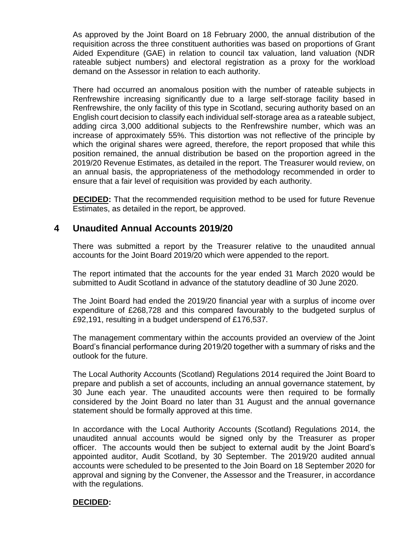As approved by the Joint Board on 18 February 2000, the annual distribution of the requisition across the three constituent authorities was based on proportions of Grant Aided Expenditure (GAE) in relation to council tax valuation, land valuation (NDR rateable subject numbers) and electoral registration as a proxy for the workload demand on the Assessor in relation to each authority.

There had occurred an anomalous position with the number of rateable subjects in Renfrewshire increasing significantly due to a large self-storage facility based in Renfrewshire, the only facility of this type in Scotland, securing authority based on an English court decision to classify each individual self-storage area as a rateable subject, adding circa 3,000 additional subjects to the Renfrewshire number, which was an increase of approximately 55%. This distortion was not reflective of the principle by which the original shares were agreed, therefore, the report proposed that while this position remained, the annual distribution be based on the proportion agreed in the 2019/20 Revenue Estimates, as detailed in the report. The Treasurer would review, on an annual basis, the appropriateness of the methodology recommended in order to ensure that a fair level of requisition was provided by each authority.

**DECIDED:** That the recommended requisition method to be used for future Revenue Estimates, as detailed in the report, be approved.

### **4 Unaudited Annual Accounts 2019/20**

There was submitted a report by the Treasurer relative to the unaudited annual accounts for the Joint Board 2019/20 which were appended to the report.

The report intimated that the accounts for the year ended 31 March 2020 would be submitted to Audit Scotland in advance of the statutory deadline of 30 June 2020.

The Joint Board had ended the 2019/20 financial year with a surplus of income over expenditure of £268,728 and this compared favourably to the budgeted surplus of £92,191, resulting in a budget underspend of £176,537.

The management commentary within the accounts provided an overview of the Joint Board's financial performance during 2019/20 together with a summary of risks and the outlook for the future.

The Local Authority Accounts (Scotland) Regulations 2014 required the Joint Board to prepare and publish a set of accounts, including an annual governance statement, by 30 June each year. The unaudited accounts were then required to be formally considered by the Joint Board no later than 31 August and the annual governance statement should be formally approved at this time.

In accordance with the Local Authority Accounts (Scotland) Regulations 2014, the unaudited annual accounts would be signed only by the Treasurer as proper officer. The accounts would then be subject to external audit by the Joint Board's appointed auditor, Audit Scotland, by 30 September. The 2019/20 audited annual accounts were scheduled to be presented to the Join Board on 18 September 2020 for approval and signing by the Convener, the Assessor and the Treasurer, in accordance with the regulations.

#### **DECIDED:**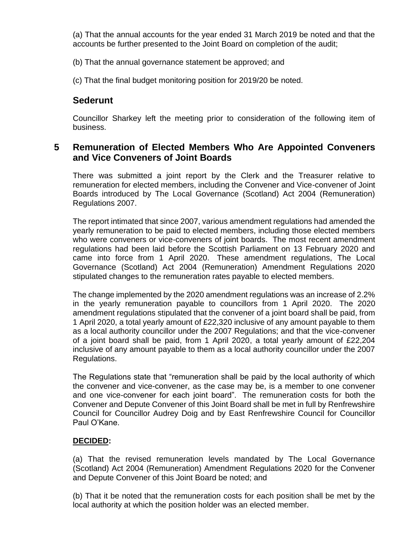(a) That the annual accounts for the year ended 31 March 2019 be noted and that the accounts be further presented to the Joint Board on completion of the audit;

(b) That the annual governance statement be approved; and

(c) That the final budget monitoring position for 2019/20 be noted.

## **Sederunt**

Councillor Sharkey left the meeting prior to consideration of the following item of business.

### **5 Remuneration of Elected Members Who Are Appointed Conveners and Vice Conveners of Joint Boards**

There was submitted a joint report by the Clerk and the Treasurer relative to remuneration for elected members, including the Convener and Vice-convener of Joint Boards introduced by The Local Governance (Scotland) Act 2004 (Remuneration) Regulations 2007.

The report intimated that since 2007, various amendment regulations had amended the yearly remuneration to be paid to elected members, including those elected members who were conveners or vice-conveners of joint boards. The most recent amendment regulations had been laid before the Scottish Parliament on 13 February 2020 and came into force from 1 April 2020. These amendment regulations, The Local Governance (Scotland) Act 2004 (Remuneration) Amendment Regulations 2020 stipulated changes to the remuneration rates payable to elected members.

The change implemented by the 2020 amendment regulations was an increase of 2.2% in the yearly remuneration payable to councillors from 1 April 2020. The 2020 amendment regulations stipulated that the convener of a joint board shall be paid, from 1 April 2020, a total yearly amount of £22,320 inclusive of any amount payable to them as a local authority councillor under the 2007 Regulations; and that the vice-convener of a joint board shall be paid, from 1 April 2020, a total yearly amount of £22,204 inclusive of any amount payable to them as a local authority councillor under the 2007 Regulations.

The Regulations state that "remuneration shall be paid by the local authority of which the convener and vice-convener, as the case may be, is a member to one convener and one vice-convener for each joint board". The remuneration costs for both the Convener and Depute Convener of this Joint Board shall be met in full by Renfrewshire Council for Councillor Audrey Doig and by East Renfrewshire Council for Councillor Paul O'Kane.

#### **DECIDED:**

(a) That the revised remuneration levels mandated by The Local Governance (Scotland) Act 2004 (Remuneration) Amendment Regulations 2020 for the Convener and Depute Convener of this Joint Board be noted; and

(b) That it be noted that the remuneration costs for each position shall be met by the local authority at which the position holder was an elected member.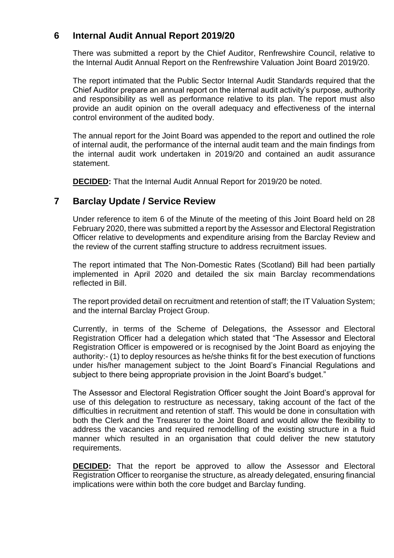## **6 Internal Audit Annual Report 2019/20**

There was submitted a report by the Chief Auditor, Renfrewshire Council, relative to the Internal Audit Annual Report on the Renfrewshire Valuation Joint Board 2019/20.

The report intimated that the Public Sector Internal Audit Standards required that the Chief Auditor prepare an annual report on the internal audit activity's purpose, authority and responsibility as well as performance relative to its plan. The report must also provide an audit opinion on the overall adequacy and effectiveness of the internal control environment of the audited body.

The annual report for the Joint Board was appended to the report and outlined the role of internal audit, the performance of the internal audit team and the main findings from the internal audit work undertaken in 2019/20 and contained an audit assurance statement.

**DECIDED:** That the Internal Audit Annual Report for 2019/20 be noted.

### **7 Barclay Update / Service Review**

Under reference to item 6 of the Minute of the meeting of this Joint Board held on 28 February 2020, there was submitted a report by the Assessor and Electoral Registration Officer relative to developments and expenditure arising from the Barclay Review and the review of the current staffing structure to address recruitment issues.

The report intimated that The Non-Domestic Rates (Scotland) Bill had been partially implemented in April 2020 and detailed the six main Barclay recommendations reflected in Bill.

The report provided detail on recruitment and retention of staff; the IT Valuation System; and the internal Barclay Project Group.

Currently, in terms of the Scheme of Delegations, the Assessor and Electoral Registration Officer had a delegation which stated that "The Assessor and Electoral Registration Officer is empowered or is recognised by the Joint Board as enjoying the authority:- (1) to deploy resources as he/she thinks fit for the best execution of functions under his/her management subject to the Joint Board's Financial Regulations and subject to there being appropriate provision in the Joint Board's budget."

The Assessor and Electoral Registration Officer sought the Joint Board's approval for use of this delegation to restructure as necessary, taking account of the fact of the difficulties in recruitment and retention of staff. This would be done in consultation with both the Clerk and the Treasurer to the Joint Board and would allow the flexibility to address the vacancies and required remodelling of the existing structure in a fluid manner which resulted in an organisation that could deliver the new statutory requirements.

**DECIDED:** That the report be approved to allow the Assessor and Electoral Registration Officer to reorganise the structure, as already delegated, ensuring financial implications were within both the core budget and Barclay funding.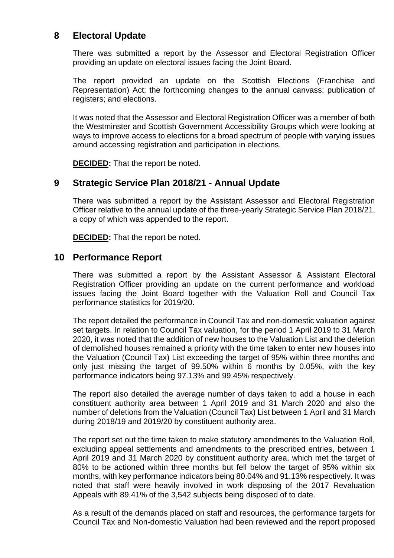## **8 Electoral Update**

There was submitted a report by the Assessor and Electoral Registration Officer providing an update on electoral issues facing the Joint Board.

The report provided an update on the Scottish Elections (Franchise and Representation) Act; the forthcoming changes to the annual canvass; publication of registers; and elections.

It was noted that the Assessor and Electoral Registration Officer was a member of both the Westminster and Scottish Government Accessibility Groups which were looking at ways to improve access to elections for a broad spectrum of people with varying issues around accessing registration and participation in elections.

**DECIDED:** That the report be noted.

#### **9 Strategic Service Plan 2018/21 - Annual Update**

There was submitted a report by the Assistant Assessor and Electoral Registration Officer relative to the annual update of the three-yearly Strategic Service Plan 2018/21, a copy of which was appended to the report.

**DECIDED:** That the report be noted.

#### **10 Performance Report**

There was submitted a report by the Assistant Assessor & Assistant Electoral Registration Officer providing an update on the current performance and workload issues facing the Joint Board together with the Valuation Roll and Council Tax performance statistics for 2019/20.

The report detailed the performance in Council Tax and non-domestic valuation against set targets. In relation to Council Tax valuation, for the period 1 April 2019 to 31 March 2020, it was noted that the addition of new houses to the Valuation List and the deletion of demolished houses remained a priority with the time taken to enter new houses into the Valuation (Council Tax) List exceeding the target of 95% within three months and only just missing the target of 99.50% within 6 months by 0.05%, with the key performance indicators being 97.13% and 99.45% respectively.

The report also detailed the average number of days taken to add a house in each constituent authority area between 1 April 2019 and 31 March 2020 and also the number of deletions from the Valuation (Council Tax) List between 1 April and 31 March during 2018/19 and 2019/20 by constituent authority area.

The report set out the time taken to make statutory amendments to the Valuation Roll, excluding appeal settlements and amendments to the prescribed entries, between 1 April 2019 and 31 March 2020 by constituent authority area, which met the target of 80% to be actioned within three months but fell below the target of 95% within six months, with key performance indicators being 80.04% and 91.13% respectively. It was noted that staff were heavily involved in work disposing of the 2017 Revaluation Appeals with 89.41% of the 3,542 subjects being disposed of to date.

As a result of the demands placed on staff and resources, the performance targets for Council Tax and Non-domestic Valuation had been reviewed and the report proposed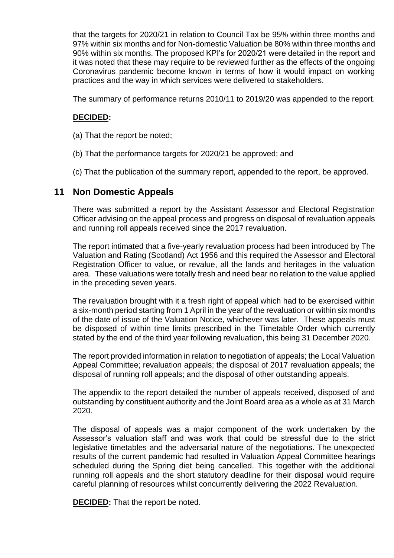that the targets for 2020/21 in relation to Council Tax be 95% within three months and 97% within six months and for Non-domestic Valuation be 80% within three months and 90% within six months. The proposed KPI's for 2020/21 were detailed in the report and it was noted that these may require to be reviewed further as the effects of the ongoing Coronavirus pandemic become known in terms of how it would impact on working practices and the way in which services were delivered to stakeholders.

The summary of performance returns 2010/11 to 2019/20 was appended to the report.

#### **DECIDED:**

- (a) That the report be noted;
- (b) That the performance targets for 2020/21 be approved; and
- (c) That the publication of the summary report, appended to the report, be approved.

#### **11 Non Domestic Appeals**

There was submitted a report by the Assistant Assessor and Electoral Registration Officer advising on the appeal process and progress on disposal of revaluation appeals and running roll appeals received since the 2017 revaluation.

The report intimated that a five-yearly revaluation process had been introduced by The Valuation and Rating (Scotland) Act 1956 and this required the Assessor and Electoral Registration Officer to value, or revalue, all the lands and heritages in the valuation area. These valuations were totally fresh and need bear no relation to the value applied in the preceding seven years.

The revaluation brought with it a fresh right of appeal which had to be exercised within a six-month period starting from 1 April in the year of the revaluation or within six months of the date of issue of the Valuation Notice, whichever was later. These appeals must be disposed of within time limits prescribed in the Timetable Order which currently stated by the end of the third year following revaluation, this being 31 December 2020.

The report provided information in relation to negotiation of appeals; the Local Valuation Appeal Committee; revaluation appeals; the disposal of 2017 revaluation appeals; the disposal of running roll appeals; and the disposal of other outstanding appeals.

The appendix to the report detailed the number of appeals received, disposed of and outstanding by constituent authority and the Joint Board area as a whole as at 31 March 2020.

The disposal of appeals was a major component of the work undertaken by the Assessor's valuation staff and was work that could be stressful due to the strict legislative timetables and the adversarial nature of the negotiations. The unexpected results of the current pandemic had resulted in Valuation Appeal Committee hearings scheduled during the Spring diet being cancelled. This together with the additional running roll appeals and the short statutory deadline for their disposal would require careful planning of resources whilst concurrently delivering the 2022 Revaluation.

**DECIDED:** That the report be noted.